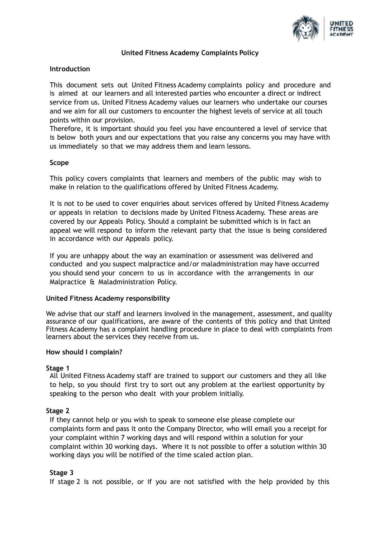

# **United Fitness Academy Complaints Policy**

## **Introduction**

This document sets out United Fitness Academy complaints policy and procedure and is aimed at our learners and all interested parties who encounter a direct or indirect service from us. United Fitness Academy values our learners who undertake our courses and we aim for all our customers to encounter the highest levels of service at all touch points within our provision.

Therefore, it is important should you feel you have encountered a level of service that is below both yours and our expectations that you raise any concerns you may have with us immediately so that we may address them and learn lessons.

#### **Scope**

This policy covers complaints that learners and members of the public may wish to make in relation to the qualifications offered by United Fitness Academy.

It is not to be used to cover enquiries about services offered by United Fitness Academy or appeals in relation to decisions made by United Fitness Academy. These areas are covered by our Appeals Policy. Should a complaint be submitted which is in fact an appeal we will respond to inform the relevant party that the issue is being considered in accordance with our Appeals policy.

If you are unhappy about the way an examination or assessment was delivered and conducted and you suspect malpractice and/or maladministration may have occurred you should send your concern to us in accordance with the arrangements in our Malpractice & Maladministration Policy.

#### **United Fitness Academy responsibility**

We advise that our staff and learners involved in the management, assessment, and quality assurance of our qualifications, are aware of the contents of this policy and that United Fitness Academy has a complaint handling procedure in place to deal with complaints from learners about the services they receive from us.

#### **How should I complain?**

## **Stage 1**

All United Fitness Academy staff are trained to support our customers and they all like to help, so you should first try to sort out any problem at the earliest opportunity by speaking to the person who dealt with your problem initially.

## **Stage 2**

If they cannot help or you wish to speak to someone else please complete our complaints form and pass it onto the Company Director, who will email you a receipt for your complaint within 7 working days and will respond within a solution for your complaint within 30 working days. Where it is not possible to offer a solution within 30 working days you will be notified of the time scaled action plan.

## **Stage 3**

If stage 2 is not possible, or if you are not satisfied with the help provided by this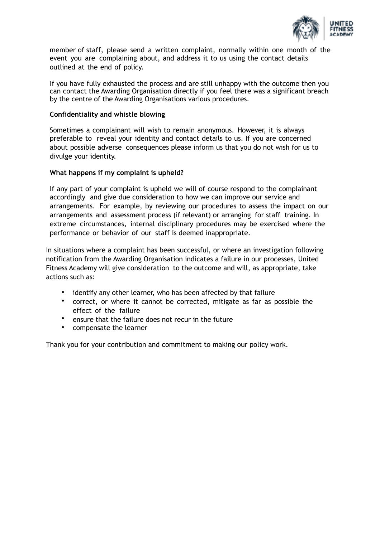

member of staff, please send a written complaint, normally within one month of the event you are complaining about, and address it to us using the contact details outlined at the end of policy.

If you have fully exhausted the process and are still unhappy with the outcome then you can contact the Awarding Organisation directly if you feel there was a significant breach by the centre of the Awarding Organisations various procedures.

#### **Confidentiality and whistle blowing**

Sometimes a complainant will wish to remain anonymous. However, it is always preferable to reveal your identity and contact details to us. If you are concerned about possible adverse consequences please inform us that you do not wish for us to divulge your identity.

#### **What happens if my complaint is upheld?**

If any part of your complaint is upheld we will of course respond to the complainant accordingly and give due consideration to how we can improve our service and arrangements. For example, by reviewing our procedures to assess the impact on our arrangements and assessment process (if relevant) or arranging for staff training. In extreme circumstances, internal disciplinary procedures may be exercised where the performance or behavior of our staff is deemed inappropriate.

In situations where a complaint has been successful, or where an investigation following notification from the Awarding Organisation indicates a failure in our processes, United Fitness Academy will give consideration to the outcome and will, as appropriate, take actions such as:

- identify any other learner, who has been affected by that failure
- correct, or where it cannot be corrected, mitigate as far as possible the effect of the failure
- ensure that the failure does not recur in the future
- compensate the learner

Thank you for your contribution and commitment to making our policy work.